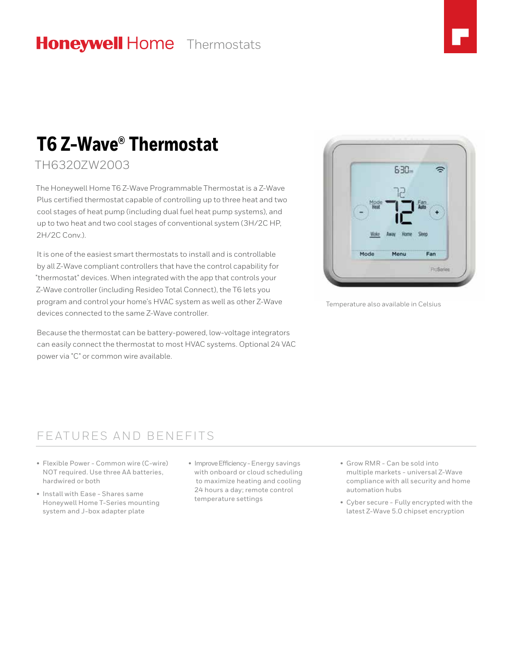## **Honeywell Home** Thermostats



# **T6 Z-Wave® Thermostat**

TH6320ZW2003

The Honeywell Home T6 Z-Wave Programmable Thermostat is a Z-Wave Plus certified thermostat capable of controlling up to three heat and two cool stages of heat pump (including dual fuel heat pump systems), and up to two heat and two cool stages of conventional system (3H/2C HP, 2H/2C Conv.).

It is one of the easiest smart thermostats to install and is controllable by all Z-Wave compliant controllers that have the control capability for "thermostat" devices. When integrated with the app that controls your Z-Wave controller (including Resideo Total Connect), the T6 lets you program and control your home's HVAC system as well as other Z-Wave devices connected to the same Z-Wave controller.

Because the thermostat can be battery-powered, low-voltage integrators can easily connect the thermostat to most HVAC systems. Optional 24 VAC power via "C" or common wire available.



Temperature also available in Celsius

### FEATURES AND BENEFITS

- Flexible Power Common wire (C-wire) NOT required. Use three AA batteries, hardwired or both
- Install with Ease Shares same Honeywell Home T-Series mounting system and J-box adapter plate
- Improve Efficiency Energy savings with onboard or cloud scheduling to maximize heating and cooling 24 hours a day; remote control temperature settings
- Grow RMR Can be sold into multiple markets - universal Z-Wave compliance with all security and home automation hubs
- Cyber secure Fully encrypted with the latest Z-Wave 5.0 chipset encryption